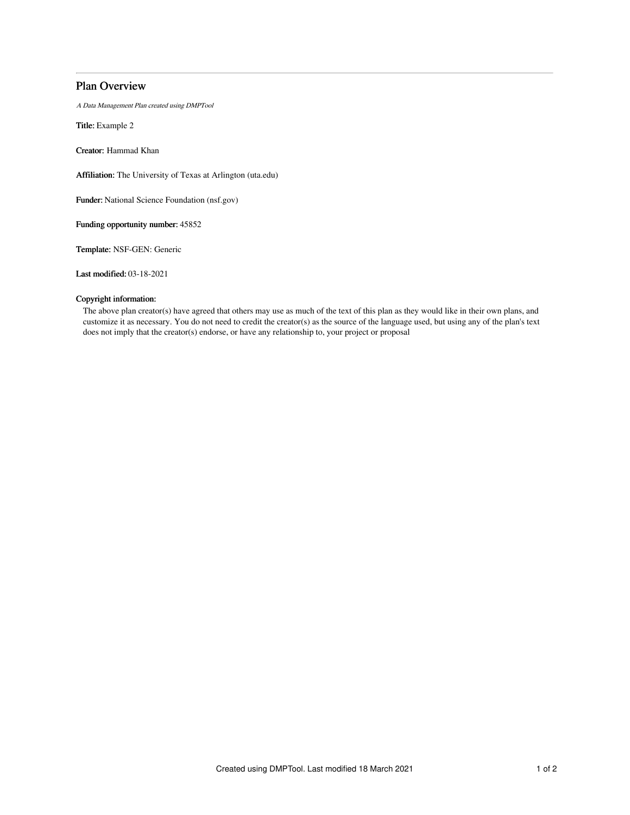# Plan Overview

A Data Management Plan created using DMPTool

Title: Example 2

Creator: Hammad Khan

Affiliation: The University of Texas at Arlington (uta.edu)

Funder: National Science Foundation (nsf.gov)

Funding opportunity number: 45852

Template: NSF-GEN: Generic

Last modified: 03-18-2021

## Copyright information:

The above plan creator(s) have agreed that others may use as much of the text of this plan as they would like in their own plans, and customize it as necessary. You do not need to credit the creator(s) as the source of the language used, but using any of the plan's text does not imply that the creator(s) endorse, or have any relationship to, your project or proposal